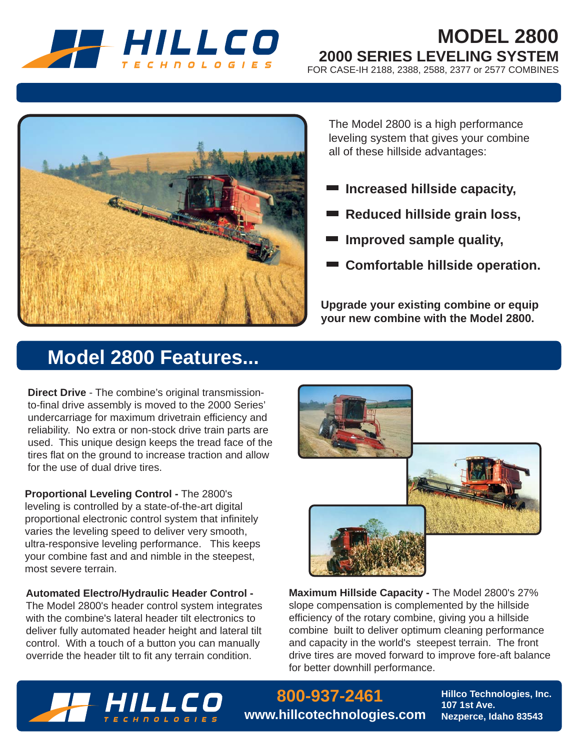

# **MODEL 2800 2000 SERIES LEVELING SYSTEM**

FOR CASE-IH 2188, 2388, 2588, 2377 or 2577 COMBINES



The Model 2800 is a high performance leveling system that gives your combine all of these hillside advantages:

- **Increased hillside capacity,**
- **Reduced hillside grain loss,**
- **Improved sample quality,**
- **Comfortable hillside operation.**

**Upgrade your existing combine or equip your new combine with the Model 2800.**

# **Model 2800 Features...**

**Direct Drive** - The combine's original transmissionto-final drive assembly is moved to the 2000 Series' undercarriage for maximum drivetrain efficiency and reliability. No extra or non-stock drive train parts are used. This unique design keeps the tread face of the tires flat on the ground to increase traction and allow for the use of dual drive tires.

**Proportional Leveling Control -** The 2800's leveling is controlled by a state-of-the-art digital proportional electronic control system that infinitely varies the leveling speed to deliver very smooth, ultra-responsive leveling performance. This keeps your combine fast and and nimble in the steepest, most severe terrain.

**Automated Electro/Hydraulic Header Control -**  The Model 2800's header control system integrates with the combine's lateral header tilt electronics to deliver fully automated header height and lateral tilt control. With a touch of a button you can manually override the header tilt to fit any terrain condition.



**Maximum Hillside Capacity -** The Model 2800's 27% slope compensation is complemented by the hillside efficiency of the rotary combine, giving you a hillside combine built to deliver optimum cleaning performance and capacity in the world's steepest terrain. The front drive tires are moved forward to improve fore-aft balance for better downhill performance.



**800-937-2461 www.hillcotechnologies.com** **Hillco Technologies, Inc. 107 1st Ave. Nezperce, Idaho 83543**